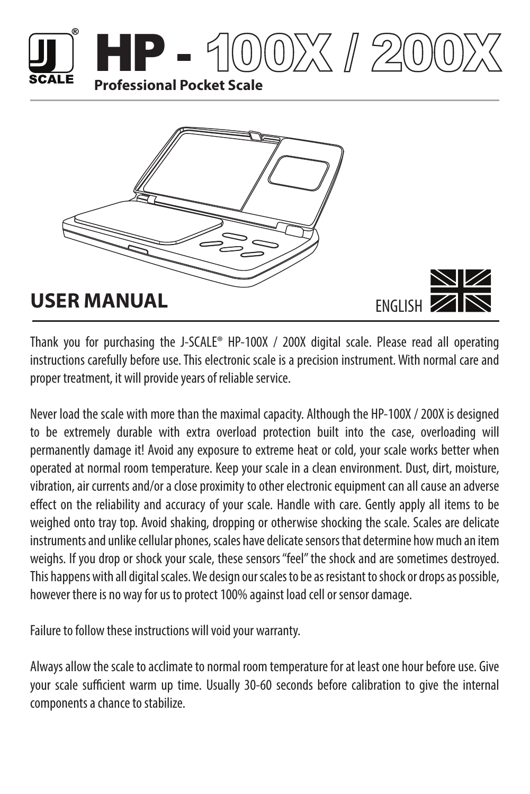





Thank you for purchasing the J-SCALE® HP-100X / 200X digital scale. Please read all operating instructions carefully before use. This electronic scale is a precision instrument. With normal care and proper treatment, it will provide years of reliable service.

Never load the scale with more than the maximal capacity. Although the HP-100X / 200X is designed to be extremely durable with extra overload protection built into the case, overloading will permanently damage it! Avoid any exposure to extreme heat or cold, your scale works better when operated at normal room temperature. Keep your scale in a clean environment. Dust, dirt, moisture, vibration, air currents and/or a close proximity to other electronic equipment can all cause an adverse effect on the reliability and accuracy of your scale. Handle with care. Gently apply all items to be weighed onto tray top. Avoid shaking, dropping or otherwise shocking the scale. Scales are delicate instruments and unlike cellular phones, scales have delicate sensors that determine how much an item weighs. If you drop or shock your scale, these sensors "feel" the shock and are sometimes destroyed. This happens with all digital scales. We design our scales to be as resistant to shock or drops as possible, however there is no way for us to protect 100% against load cell or sensor damage.

Failure to follow these instructions will void your warranty.

Always allow the scale to acclimate to normal room temperature for at least one hour before use. Give your scale sufficient warm up time. Usually 30-60 seconds before calibration to give the internal components a chance to stabilize.